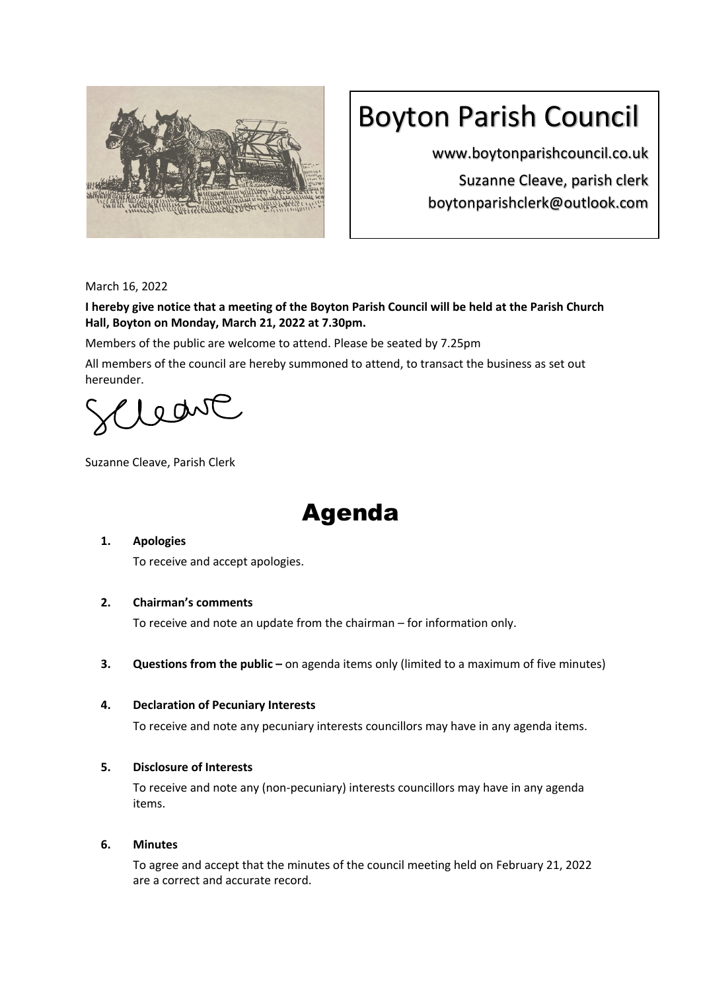

# Boyton Parish Council

www.boytonparishcouncil.co.uk Suzanne Cleave, parish clerk boytonparishclerk@outlook.com

March 16, 2022

**I hereby give notice that a meeting of the Boyton Parish Council will be held at the Parish Church Hall, Boyton on Monday, March 21, 2022 at 7.30pm.**

Members of the public are welcome to attend. Please be seated by 7.25pm

All members of the council are hereby summoned to attend, to transact the business as set out hereunder.

leave

Suzanne Cleave, Parish Clerk

## Agenda

## **1. Apologies**

To receive and accept apologies.

## **2. Chairman's comments**

To receive and note an update from the chairman – for information only.

**3. Questions from the public –** on agenda items only (limited to a maximum of five minutes)

## **4. Declaration of Pecuniary Interests**

To receive and note any pecuniary interests councillors may have in any agenda items.

## **5. Disclosure of Interests**

To receive and note any (non-pecuniary) interests councillors may have in any agenda items.

## **6. Minutes**

To agree and accept that the minutes of the council meeting held on February 21, 2022 are a correct and accurate record.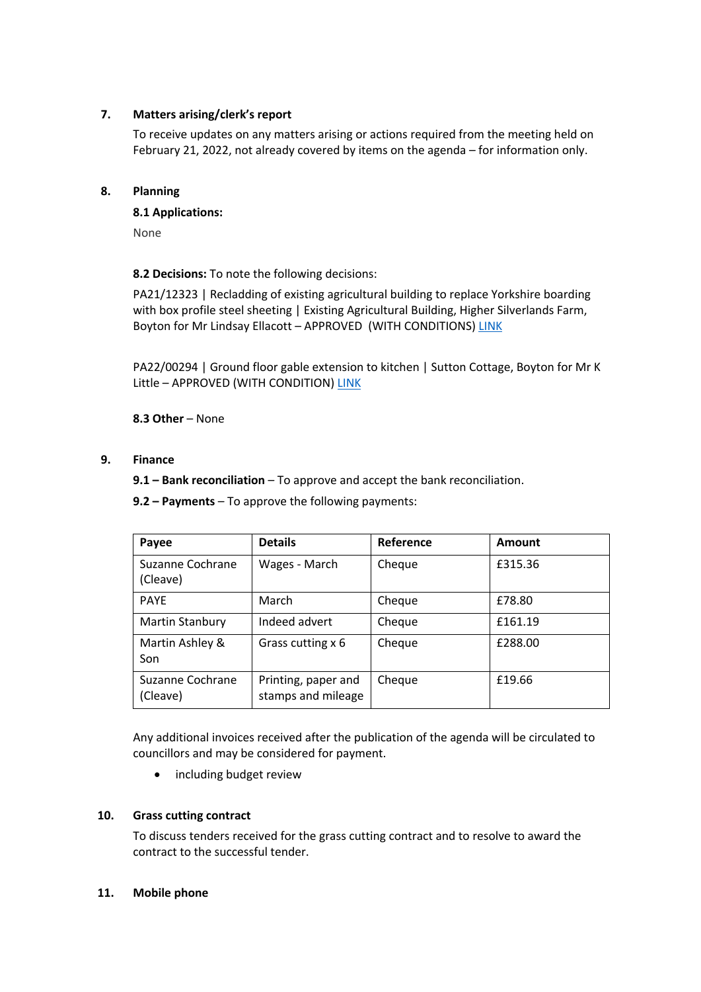## **7. Matters arising/clerk's report**

To receive updates on any matters arising or actions required from the meeting held on February 21, 2022, not already covered by items on the agenda – for information only.

#### **8. Planning**

**8.1 Applications:**

None

**8.2 Decisions:** To note the following decisions:

PA21/12323 | Recladding of existing agricultural building to replace Yorkshire boarding with box profile steel sheeting | Existing Agricultural Building, Higher Silverlands Farm, Boyton for Mr Lindsay Ellacott - APPROVED (WITH CONDITIONS) LINK

PA22/00294 | Ground floor gable extension to kitchen | Sutton Cottage, Boyton for Mr K Little – APPROVED (WITH CONDITION) LINK

**8.3 Other** – None

#### **9. Finance**

**9.1 – Bank reconciliation** – To approve and accept the bank reconciliation.

**9.2 – Payments** – To approve the following payments:

| Payee                        | <b>Details</b>                            | Reference | Amount  |
|------------------------------|-------------------------------------------|-----------|---------|
| Suzanne Cochrane<br>(Cleave) | Wages - March                             | Cheque    | £315.36 |
| <b>PAYE</b>                  | March                                     | Cheque    | £78.80  |
| <b>Martin Stanbury</b>       | Indeed advert                             | Cheque    | £161.19 |
| Martin Ashley &<br>Son       | Grass cutting x 6                         | Cheque    | £288.00 |
| Suzanne Cochrane<br>(Cleave) | Printing, paper and<br>stamps and mileage | Cheque    | £19.66  |

Any additional invoices received after the publication of the agenda will be circulated to councillors and may be considered for payment.

• including budget review

#### **10. Grass cutting contract**

To discuss tenders received for the grass cutting contract and to resolve to award the contract to the successful tender.

#### **11. Mobile phone**